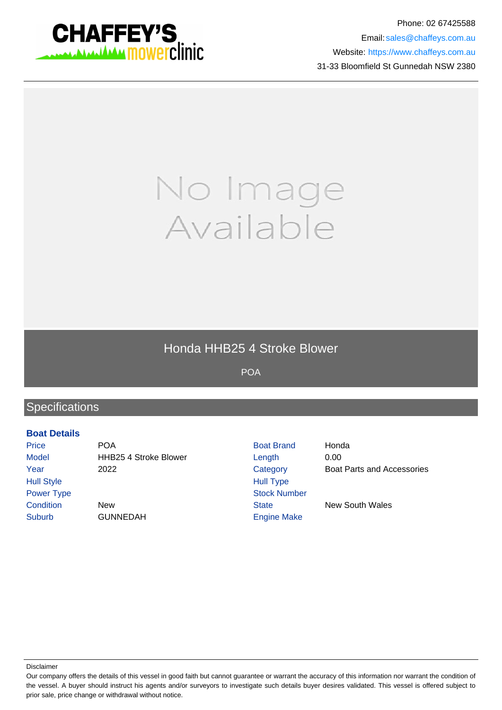

Phone: 02 67425588 Email: sales@chaffeys.com.au Website: https://www.chaffeys.com.au 31-33 Bloomfield St Gunnedah NSW 2380

# No Image Available

### Honda HHB25 4 Stroke Blower

POA

## **Specifications**

#### **Boat Details**

Price **POA** POA Boat Brand Honda Model **HHB25 4 Stroke Blower** Length 0.00 Year 2022 Category Boat Parts and Accessories Hull Style **Hull Type** Power Type Stock Number **Condition** New New State New South Wales Suburb GUNNEDAH Engine Make

Disclaimer

Our company offers the details of this vessel in good faith but cannot guarantee or warrant the accuracy of this information nor warrant the condition of the vessel. A buyer should instruct his agents and/or surveyors to investigate such details buyer desires validated. This vessel is offered subject to prior sale, price change or withdrawal without notice.